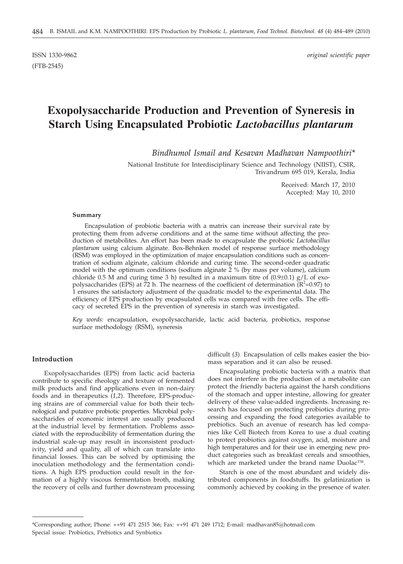# **Exopolysaccharide Production and Prevention of Syneresis in Starch Using Encapsulated Probiotic** *Lactobacillus plantarum*

*Bindhumol Ismail and Kesavan Madhavan Nampoothiri\**

National Institute for Interdisciplinary Science and Technology (NIIST), CSIR, Trivandrum 695 019, Kerala, India

> Received: March 17, 2010 Accepted: May 10, 2010

#### **Summary**

Encapsulation of probiotic bacteria with a matrix can increase their survival rate by protecting them from adverse conditions and at the same time without affecting the production of metabolites. An effort has been made to encapsulate the probiotic *Lactobacillus plantarum* using calcium alginate. Box-Behnken model of response surface methodology (RSM) was employed in the optimization of major encapsulation conditions such as concentration of sodium alginate, calcium chloride and curing time. The second-order quadratic model with the optimum conditions (sodium alginate  $\frac{2}{x}$ % (by mass per volume), calcium chloride 0.5 M and curing time 3 h) resulted in a maximum titre of  $(0.9\pm0.1)$  g/L of exopolysaccharides (EPS) at  $\bar{7}2$  h. The nearness of the coefficient of determination ( $\bar{R}^2$ =0.97) to 1 ensures the satisfactory adjustment of the quadratic model to the experimental data. The efficiency of EPS production by encapsulated cells was compared with free cells. The efficacy of secreted EPS in the prevention of syneresis in starch was investigated.

*Key words:* encapsulation, exopolysaccharide, lactic acid bacteria, probiotics, response surface methodology (RSM), syneresis

#### **Introduction**

Exopolysaccharides (EPS) from lactic acid bacteria contribute to specific rheology and texture of fermented milk products and find applications even in non-dairy foods and in therapeutics (*1,2*). Therefore, EPS-producing strains are of commercial value for both their technological and putative probiotic properties. Microbial polysaccharides of economic interest are usually produced at the industrial level by fermentation. Problems associated with the reproducibility of fermentation during the industrial scale-up may result in inconsistent productivity, yield and quality, all of which can translate into financial losses. This can be solved by optimising the inoculation methodology and the fermentation conditions. A high EPS production could result in the formation of a highly viscous fermentation broth, making the recovery of cells and further downstream processing

difficult (*3*). Encapsulation of cells makes easier the biomass separation and it can also be reused.

Encapsulating probiotic bacteria with a matrix that does not interfere in the production of a metabolite can protect the friendly bacteria against the harsh conditions of the stomach and upper intestine, allowing for greater delivery of these value-added ingredients. Increasing research has focused on protecting probiotics during processing and expanding the food categories available to prebiotics. Such an avenue of research has led companies like Cell Biotech from Korea to use a dual coating to protect probiotics against oxygen, acid, moisture and high temperatures and for their use in emerging new product categories such as breakfast cereals and smoothies, which are marketed under the brand name Duolac™.

Starch is one of the most abundant and widely distributed components in foodstuffs. Its gelatinization is commonly achieved by cooking in the presence of water.

<sup>\*</sup>Corresponding author; Phone: ++91 471 2515 366; Fax: ++91 471 249 1712; E-mail: madhavan85@hotmail.com Special issue: Probiotics, Prebiotics and Synbiotics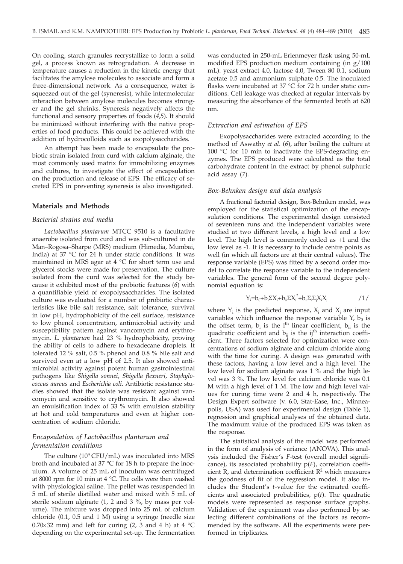On cooling, starch granules recrystallize to form a solid gel, a process known as retrogradation. A decrease in temperature causes a reduction in the kinetic energy that facilitates the amylose molecules to associate and form a three-dimensional network. As a consequence, water is squeezed out of the gel (syneresis), while intermolecular interaction between amylose molecules becomes stronger and the gel shrinks. Syneresis negatively affects the functional and sensory properties of foods (*4,5*). It should be minimized without interfering with the native properties of food products. This could be achieved with the addition of hydrocolloids such as exopolysaccharides.

An attempt has been made to encapsulate the probiotic strain isolated from curd with calcium alginate, the most commonly used matrix for immobilizing enzymes and cultures, to investigate the effect of encapsulation on the production and release of EPS. The efficacy of secreted EPS in preventing syneresis is also investigated.

#### **Materials and Methods**

#### *Bacterial strains and media*

*Lactobacillus plantarum* MTCC 9510 is a facultative anaerobe isolated from curd and was sub-cultured in de Man–Rogosa–Sharpe (MRS) medium (Himedia, Mumbai, India) at 37 °C for 24 h under static conditions. It was maintained in MRS agar at 4 °C for short term use and glycerol stocks were made for preservation. The culture isolated from the curd was selected for the study because it exhibited most of the probiotic features (*6*) with a quantifiable yield of exopolysaccharides. The isolated culture was evaluated for a number of probiotic characteristics like bile salt resistance, salt tolerance, survival in low pH, hydrophobicity of the cell surface, resistance to low phenol concentration, antimicrobial activity and susceptibility pattern against vancomycin and erythromycin. *L. plantarum* had 23 % hydrophobicity, proving the ability of cells to adhere to hexadecane droplets. It tolerated 12 % salt, 0.5 % phenol and 0.8 % bile salt and survived even at a low pH of 2.5. It also showed antimicrobial activity against potent human gastrointestinal pathogens like *Shigella sonnei*, *Shigella flexneri*, *Staphylococcus aureus* and *Escherichia coli*. Antibiotic resistance studies showed that the isolate was resistant against vancomycin and sensitive to erythromycin. It also showed an emulsification index of 33 % with emulsion stability at hot and cold temperatures and even at higher concentration of sodium chloride.

## *Encapsulation of Lactobacillus plantarum and fermentation conditions*

The culture  $(10^9 \text{CFU/mL})$  was inoculated into MRS broth and incubated at 37 °C for 18 h to prepare the inoculum. A volume of 25 mL of inoculum was centrifuged at 8000 rpm for 10 min at 4 °C. The cells were then washed with physiological saline. The pellet was resuspended in 5 mL of sterile distilled water and mixed with 5 mL of sterile sodium alginate (1, 2 and 3 %, by mass per volume). The mixture was dropped into 25 mL of calcium chloride (0.1, 0.5 and 1 M) using a syringe (needle size  $0.70 \times 32$  mm) and left for curing (2, 3 and 4 h) at 4 °C depending on the experimental set-up. The fermentation

was conducted in 250-mL Erlenmeyer flask using 50-mL modified EPS production medium containing (in g/100 mL): yeast extract 4.0, lactose 4.0, Tween 80 0.1, sodium acetate 0.5 and ammonium sulphate 0.5. The inoculated flasks were incubated at 37 °C for 72 h under static conditions. Cell leakage was checked at regular intervals by measuring the absorbance of the fermented broth at 620 nm.

#### *Extraction and estimation of EPS*

Exopolysaccharides were extracted according to the method of Aswathy *et al*. (*6*), after boiling the culture at 100 °C for 10 min to inactivate the EPS-degrading enzymes. The EPS produced were calculated as the total carbohydrate content in the extract by phenol sulphuric acid assay (*7*).

#### *Box-Behnken design and data analysis*

A fractional factorial design, Box-Behnken model, was employed for the statistical optimization of the encapsulation conditions. The experimental design consisted of seventeen runs and the independent variables were studied at two different levels, a high level and a low level. The high level is commonly coded as +1 and the low level as -1. It is necessary to include centre points as well (in which all factors are at their central values). The response variable (EPS) was fitted by a second order model to correlate the response variable to the independent variables. The general form of the second degree polynomial equation is:

$$
Y_i = b_0 + b_i \Sigma X_i + b_{ii} \Sigma X_i^2 + b_{ij} \Sigma_i \Sigma_j X_i X_j
$$

where  $Y_i$  is the predicted response,  $X_i$  and  $X_j$  are input variables which influence the response variable Y,  $b_0$  is the offset term,  $b_i$  is the i<sup>th</sup> linear coefficient,  $b_{ii}$  is the quadratic coefficient and  $b_{ij}$  is the ij<sup>th</sup> interaction coefficient. Three factors selected for optimization were concentrations of sodium alginate and calcium chloride along with the time for curing. A design was generated with these factors, having a low level and a high level. The low level for sodium alginate was 1 % and the high level was 3 %. The low level for calcium chloride was 0.1 M with a high level of 1 M. The low and high level values for curing time were 2 and 4 h, respectively. The Design Expert software (v. 6.0, Stat-Ease, Inc., Minneapolis, USA) was used for experimental design (Table 1), regression and graphical analyses of the obtained data. The maximum value of the produced EPS was taken as the response.

The statistical analysis of the model was performed in the form of analysis of variance (ANOVA). This analysis included the Fisher's *F*-test (overall model significance), its associated probability p(*F*), correlation coefficient R, and determination coefficient  $\mathbb{R}^2$  which measures the goodness of fit of the regression model. It also includes the Student's *t*-value for the estimated coefficients and associated probabilities, p(*t*). The quadratic models were represented as response surface graphs. Validation of the experiment was also performed by selecting different combinations of the factors as recommended by the software. All the experiments were performed in triplicates.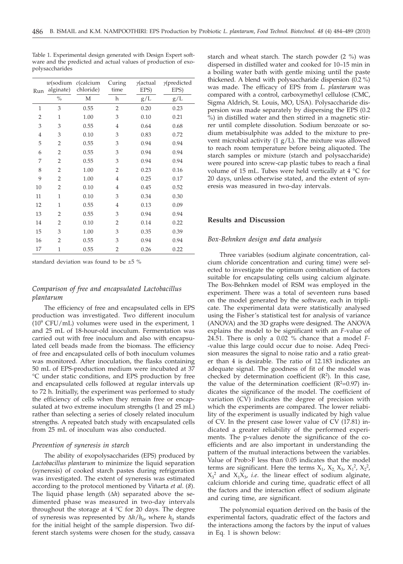| Run            | $w$ (sodium<br>alginate) | $c$ (calcium<br>chloride) | Curing<br>time | $\gamma$ (actual<br>EPS) | $\gamma$ (predicted<br>EPS) |
|----------------|--------------------------|---------------------------|----------------|--------------------------|-----------------------------|
|                | $\%$                     | M                         | h              | g/L                      | g/L                         |
| $\mathbf{1}$   | 3                        | 0.55                      | $\overline{2}$ | 0.20                     | 0.23                        |
| $\overline{2}$ | 1                        | 1.00                      | 3              | 0.10                     | 0.21                        |
| 3              | 3                        | 0.55                      | $\overline{4}$ | 0.64                     | 0.68                        |
| $\overline{4}$ | 3                        | 0.10                      | 3              | 0.83                     | 0.72                        |
| 5              | $\overline{2}$           | 0.55                      | 3              | 0.94                     | 0.94                        |
| 6              | 2                        | 0.55                      | 3              | 0.94                     | 0.94                        |
| 7              | 2                        | 0.55                      | 3              | 0.94                     | 0.94                        |
| 8              | 2                        | 1.00                      | 2              | 0.23                     | 0.16                        |
| 9              | $\overline{2}$           | 1.00                      | $\overline{4}$ | 0.25                     | 0.17                        |
| 10             | $\overline{2}$           | 0.10                      | $\overline{4}$ | 0.45                     | 0.52                        |
| 11             | 1                        | 0.10                      | 3              | 0.34                     | 0.30                        |
| 12             | 1                        | 0.55                      | 4              | 0.13                     | 0.09                        |
| 13             | 2                        | 0.55                      | 3              | 0.94                     | 0.94                        |
| 14             | 2                        | 0.10                      | $\overline{2}$ | 0.14                     | 0.22                        |
| 15             | 3                        | 1.00                      | 3              | 0.35                     | 0.39                        |
| 16             | 2                        | 0.55                      | 3              | 0.94                     | 0.94                        |
| 17             | $\mathbf{1}$             | 0.55                      | $\overline{2}$ | 0.26                     | 0.22                        |

Table 1. Experimental design generated with Design Expert software and the predicted and actual values of production of exopolysaccharides

standard deviation was found to be  $\pm 5$  %

# *Comparison of free and encapsulated Lactobacillus plantarum*

The efficiency of free and encapsulated cells in EPS production was investigated. Two different inoculum  $(10^9 \text{ CFU/mL})$  volumes were used in the experiment, 1 and 25 mL of 18-hour-old inoculum. Fermentation was carried out with free inoculum and also with encapsulated cell beads made from the biomass. The efficiency of free and encapsulated cells of both inoculum volumes was monitored. After inoculation, the flasks containing 50 mL of EPS-production medium were incubated at 37 °C under static conditions, and EPS production by free and encapsulated cells followed at regular intervals up to 72 h. Initially, the experiment was performed to study the efficiency of cells when they remain free or encapsulated at two extreme inoculum strengths (1 and 25 mL) rather than selecting a series of closely related inoculum strengths. A repeated batch study with encapsulated cells from 25 mL of inoculum was also conducted.

#### *Prevention of syneresis in starch*

The ability of exopolysaccharides (EPS) produced by *Lactobacillus plantarum* to minimize the liquid separation (syneresis) of cooked starch pastes during refrigeration was investigated. The extent of syneresis was estimated according to the protocol mentioned by Viñarta *et al*. (*8*). The liquid phase length  $(\Delta h)$  separated above the sedimented phase was measured in two-day intervals throughout the storage at  $4 \text{ }^{\circ}C$  for 20 days. The degree of syneresis was represented by  $\Delta h/h_0$ , where  $h_0$  stands for the initial height of the sample dispersion. Two different starch systems were chosen for the study, cassava starch and wheat starch. The starch powder (2 %) was dispersed in distilled water and cooked for 10–15 min in a boiling water bath with gentle mixing until the paste thickened. A blend with polysaccharide dispersion (0.2 %) was made. The efficacy of EPS from *L. plantarum* was compared with a control, carboxymethyl cellulose (CMC, Sigma Aldrich, St. Louis, MO, USA). Polysaccharide dispersion was made separately by dispersing the EPS (0.2 %) in distilled water and then stirred in a magnetic stirrer until complete dissolution. Sodium benzoate or sodium metabisulphite was added to the mixture to prevent microbial activity  $(1 g/L)$ . The mixture was allowed to reach room temperature before being aliquoted. The starch samples or mixture (starch and polysaccharide) were poured into screw-cap plastic tubes to reach a final volume of 15 mL. Tubes were held vertically at 4 °C for 20 days, unless otherwise stated, and the extent of syneresis was measured in two-day intervals.

### **Results and Discussion**

## *Box-Behnken design and data analysis*

Three variables (sodium alginate concentration, calcium chloride concentration and curing time) were selected to investigate the optimum combination of factors suitable for encapsulating cells using calcium alginate. The Box-Behnken model of RSM was employed in the experiment. There was a total of seventeen runs based on the model generated by the software, each in triplicate. The experimental data were statistically analysed using the Fisher's statistical test for analysis of variance (ANOVA) and the 3D graphs were designed. The ANOVA explains the model to be significant with an *F*-value of 24.51. There is only a 0.02 % chance that a model *F-* -value this large could occur due to noise. Adeq Precision measures the signal to noise ratio and a ratio greater than 4 is desirable. The ratio of 12.183 indicates an adequate signal. The goodness of fit of the model was checked by determination coefficient  $(R^2)$ . In this case, the value of the determination coefficient ( $R^2$ =0.97) indicates the significance of the model. The coefficient of variation (CV) indicates the degree of precision with which the experiments are compared. The lower reliability of the experiment is usually indicated by high value of CV. In the present case lower value of CV (17.81) indicated a greater reliability of the performed experiments. The p-values denote the significance of the coefficients and are also important in understanding the pattern of the mutual interactions between the variables. Value of Prob>F less than 0.05 indicates that the model terms are significant. Here the terms  $X_1$ ,  $X_2$ ,  $X_3$ ,  $X_1^2$ ,  $X_2^2$ ,  $X_3^2$  and  $X_1X_3$ , *i.e.* the linear effect of sodium alginate, calcium chloride and curing time, quadratic effect of all the factors and the interaction effect of sodium alginate and curing time, are significant.

The polynomial equation derived on the basis of the experimental factors, quadratic effect of the factors and the interactions among the factors by the input of values in Eq. 1 is shown below: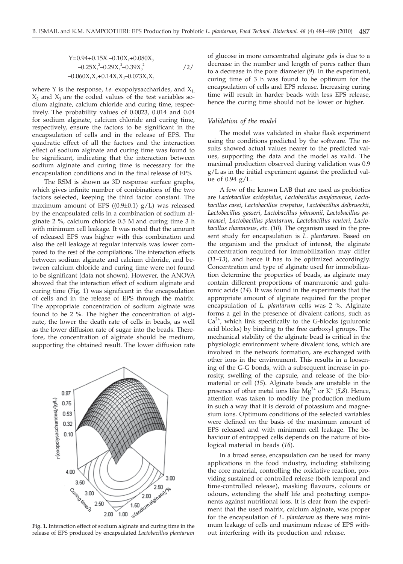$$
Y=0.94+0.15X_1-0.10X_2+0.080X_3
$$
  
-0.25X<sub>1</sub><sup>2</sup>-0.29X<sub>2</sub><sup>2</sup>-0.39X<sub>3</sub><sup>2</sup> (2/  
-0.060X<sub>1</sub>X<sub>2</sub>+0.14X<sub>1</sub>X<sub>3</sub>-0.073X<sub>2</sub>X<sub>3</sub>

where Y is the response, *i.e.* exopolysaccharides, and  $X_1$ ,  $X_2$  and  $X_3$  are the coded values of the test variables sodium alginate, calcium chloride and curing time, respectively. The probability values of 0.0023, 0.014 and 0.04 for sodium alginate, calcium chloride and curing time, respectively, ensure the factors to be significant in the encapsulation of cells and in the release of EPS. The quadratic effect of all the factors and the interaction effect of sodium alginate and curing time was found to be significant, indicating that the interaction between sodium alginate and curing time is necessary for the encapsulation conditions and in the final release of EPS.

The RSM is shown as 3D response surface graphs, which gives infinite number of combinations of the two factors selected, keeping the third factor constant. The maximum amount of EPS  $((0.9\pm0.1)$  g/L) was released by the encapsulated cells in a combination of sodium alginate 2 %, calcium chloride 0.5 M and curing time 3 h with minimum cell leakage. It was noted that the amount of released EPS was higher with this combination and also the cell leakage at regular intervals was lower compared to the rest of the compilations. The interaction effects between sodium alginate and calcium chloride, and between calcium chloride and curing time were not found to be significant (data not shown). However, the ANOVA showed that the interaction effect of sodium alginate and curing time (Fig. 1) was significant in the encapsulation of cells and in the release of EPS through the matrix. The appropriate concentration of sodium alginate was found to be 2 %. The higher the concentration of alginate, the lower the death rate of cells in beads, as well as the lower diffusion rate of sugar into the beads. Therefore, the concentration of alginate should be medium, supporting the obtained result. The lower diffusion rate



**Fig. 1.** Interaction effect of sodium alginate and curing time in the release of EPS produced by encapsulated *Lactobacillus plantarum*

of glucose in more concentrated alginate gels is due to a decrease in the number and length of pores rather than to a decrease in the pore diameter (*9*). In the experiment, curing time of 3 h was found to be optimum for the encapsulation of cells and EPS release. Increasing curing time will result in harder beads with less EPS release, hence the curing time should not be lower or higher.

#### *Validation of the model*

The model was validated in shake flask experiment using the conditions predicted by the software. The results showed actual values nearer to the predicted values, supporting the data and the model as valid. The maximal production observed during validation was 0.9 g/L as in the initial experiment against the predicted value of  $0.94$  g/L.

A few of the known LAB that are used as probiotics are *Lactobacillus acidophilus*, *Lactobacillus amylovorous*, *Lactobacillus casei*, *Lactobacillus crispatus*, *Lactobacillus delbrueckii*, *Lactobacillus gasseri*, *Lactobacillus johnsonii*, *Lactobacillus paracasei*, *Lactobacillus plantarum*, *Lactobacillus reuteri*, *Lactobacillus rhamnosus, etc*. (*10*). The organism used in the present study for encapsulation is *L. plantarum*. Based on the organism and the product of interest, the alginate concentration required for immobilization may differ (*11–13*), and hence it has to be optimized accordingly. Concentration and type of alginate used for immobilization determine the properties of beads, as alginate may contain different proportions of mannuronic and guluronic acids (*14*). It was found in the experiments that the appropriate amount of alginate required for the proper encapsulation of *L. plantarum* cells was 2 %. Alginate forms a gel in the presence of divalent cations, such as  $Ca<sup>2+</sup>$ , which link specifically to the G-blocks (guluronic acid blocks) by binding to the free carboxyl groups. The mechanical stability of the alginate bead is critical in the physiologic environment where divalent ions, which are involved in the network formation, are exchanged with other ions in the environment. This results in a loosening of the G-G bonds, with a subsequent increase in porosity, swelling of the capsule, and release of the biomaterial or cell (*15*). Alginate beads are unstable in the presence of other metal ions like  $Mg^{2+}$  or K<sup>+</sup> (5,8). Hence, attention was taken to modify the production medium in such a way that it is devoid of potassium and magnesium ions. Optimum conditions of the selected variables were defined on the basis of the maximum amount of EPS released and with minimum cell leakage. The behaviour of entrapped cells depends on the nature of biological material in beads (*16*).

In a broad sense, encapsulation can be used for many applications in the food industry, including stabilizing the core material, controlling the oxidative reaction, providing sustained or controlled release (both temporal and time-controlled release), masking flavours, colours or odours, extending the shelf life and protecting components against nutritional loss. It is clear from the experiment that the used matrix, calcium alginate, was proper for the encapsulation of *L. plantarum* as there was minimum leakage of cells and maximum release of EPS without interfering with its production and release.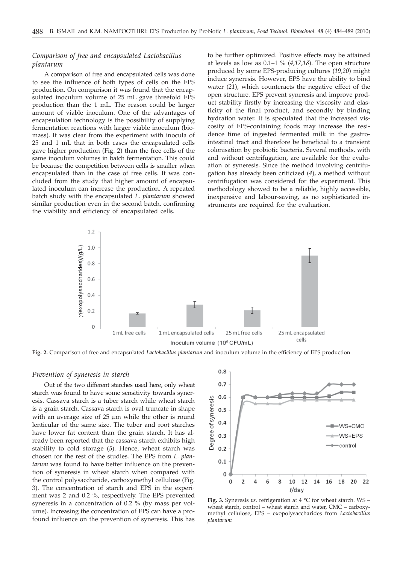## *Comparison of free and encapsulated Lactobacillus plantarum*

A comparison of free and encapsulated cells was done to see the influence of both types of cells on the EPS production. On comparison it was found that the encapsulated inoculum volume of 25 mL gave threefold EPS production than the 1 mL. The reason could be larger amount of viable inoculum. One of the advantages of encapsulation technology is the possibility of supplying fermentation reactions with larger viable inoculum (biomass). It was clear from the experiment with inocula of 25 and 1 mL that in both cases the encapsulated cells gave higher production (Fig. 2) than the free cells of the same inoculum volumes in batch fermentation. This could be because the competition between cells is smaller when encapsulated than in the case of free cells. It was concluded from the study that higher amount of encapsulated inoculum can increase the production. A repeated batch study with the encapsulated *L. plantarum* showed similar production even in the second batch, confirming the viability and efficiency of encapsulated cells.

to be further optimized. Positive effects may be attained at levels as low as 0.1–1 % (*4,17,18*). The open structure produced by some EPS-producing cultures (*19,20*) might induce syneresis. However, EPS have the ability to bind water (*21*), which counteracts the negative effect of the open structure. EPS prevent syneresis and improve product stability firstly by increasing the viscosity and elasticity of the final product, and secondly by binding hydration water. It is speculated that the increased viscosity of EPS-containing foods may increase the residence time of ingested fermented milk in the gastrointestinal tract and therefore be beneficial to a transient colonisation by probiotic bacteria. Several methods, with and without centrifugation, are available for the evaluation of syneresis. Since the method involving centrifugation has already been criticized (*4*), a method without centrifugation was considered for the experiment. This methodology showed to be a reliable, highly accessible, inexpensive and labour-saving, as no sophisticated instruments are required for the evaluation.



**Fig. 2.** Comparison of free and encapsulated *Lactobacillus plantarum* and inoculum volume in the efficiency of EPS production

#### *Prevention of syneresis in starch*

Out of the two different starches used here, only wheat starch was found to have some sensitivity towards syneresis. Cassava starch is a tuber starch while wheat starch is a grain starch. Cassava starch is oval truncate in shape with an average size of  $25 \mu m$  while the other is round lenticular of the same size. The tuber and root starches have lower fat content than the grain starch. It has already been reported that the cassava starch exhibits high stability to cold storage (*5*). Hence, wheat starch was chosen for the rest of the studies. The EPS from *L. plantarum* was found to have better influence on the prevention of syneresis in wheat starch when compared with the control polysaccharide, carboxymethyl cellulose (Fig. 3). The concentration of starch and EPS in the experiment was 2 and 0.2 %, respectively. The EPS prevented syneresis in a concentration of 0.2 % (by mass per volume). Increasing the concentration of EPS can have a profound influence on the prevention of syneresis. This has



**Fig. 3.** Syneresis *vs*. refrigeration at 4 °C for wheat starch. WS – wheat starch, control – wheat starch and water, CMC – carboxymethyl cellulose, EPS – exopolysaccharides from *Lactobacillus plantarum*